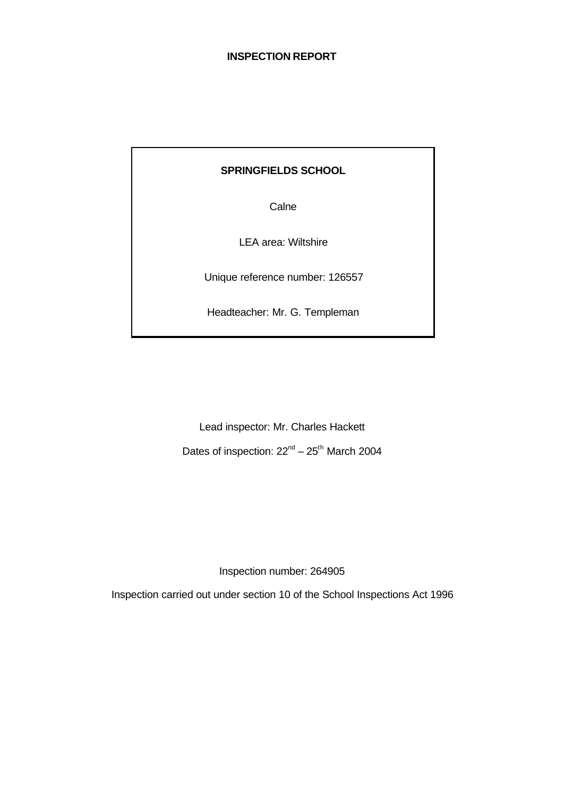# **SPRINGFIELDS SCHOOL**

**Calne** 

LEA area: Wiltshire

Unique reference number: 126557

Headteacher: Mr. G. Templeman

Lead inspector: Mr. Charles Hackett Dates of inspection:  $22^{nd} - 25^{th}$  March 2004

Inspection number: 264905

Inspection carried out under section 10 of the School Inspections Act 1996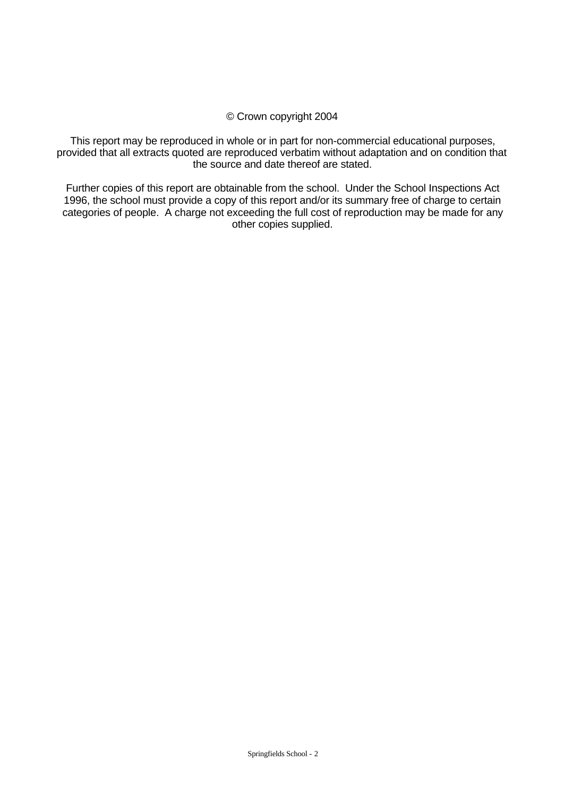#### © Crown copyright 2004

This report may be reproduced in whole or in part for non-commercial educational purposes, provided that all extracts quoted are reproduced verbatim without adaptation and on condition that the source and date thereof are stated.

Further copies of this report are obtainable from the school. Under the School Inspections Act 1996, the school must provide a copy of this report and/or its summary free of charge to certain categories of people. A charge not exceeding the full cost of reproduction may be made for any other copies supplied.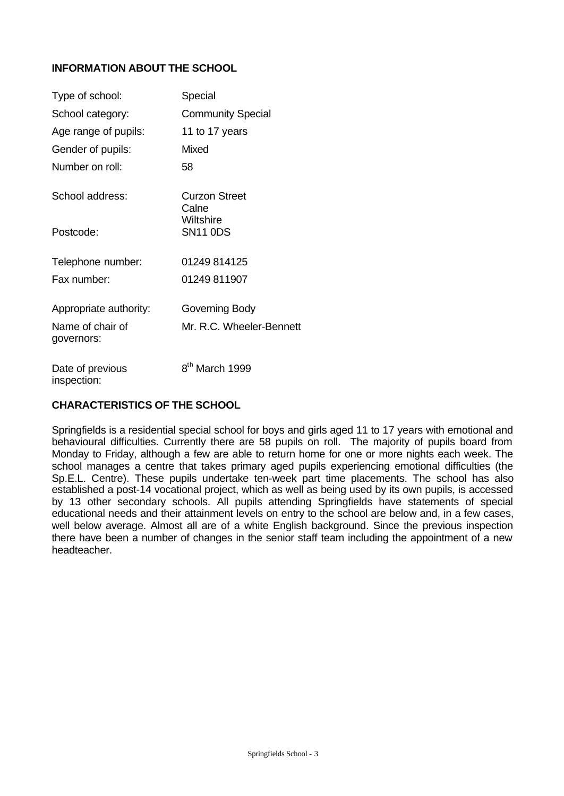# **INFORMATION ABOUT THE SCHOOL**

| Type of school:                | Special                       |
|--------------------------------|-------------------------------|
| School category:               | <b>Community Special</b>      |
| Age range of pupils:           | 11 to 17 years                |
| Gender of pupils:              | Mixed                         |
| Number on roll:                | 58                            |
| School address:                | <b>Curzon Street</b><br>Calne |
| Postcode:                      | Wiltshire<br><b>SN11 0DS</b>  |
| Telephone number:              | 01249 814125                  |
| Fax number:                    | 01249 811907                  |
| Appropriate authority:         | Governing Body                |
| Name of chair of<br>governors: | Mr. R.C. Wheeler-Bennett      |
| Date of previous               | 8 <sup>th</sup> March 1999    |

# **CHARACTERISTICS OF THE SCHOOL**

inspection:

Springfields is a residential special school for boys and girls aged 11 to 17 years with emotional and behavioural difficulties. Currently there are 58 pupils on roll. The majority of pupils board from Monday to Friday, although a few are able to return home for one or more nights each week. The school manages a centre that takes primary aged pupils experiencing emotional difficulties (the Sp.E.L. Centre). These pupils undertake ten-week part time placements. The school has also established a post-14 vocational project, which as well as being used by its own pupils, is accessed by 13 other secondary schools. All pupils attending Springfields have statements of special educational needs and their attainment levels on entry to the school are below and, in a few cases, well below average. Almost all are of a white English background. Since the previous inspection there have been a number of changes in the senior staff team including the appointment of a new headteacher.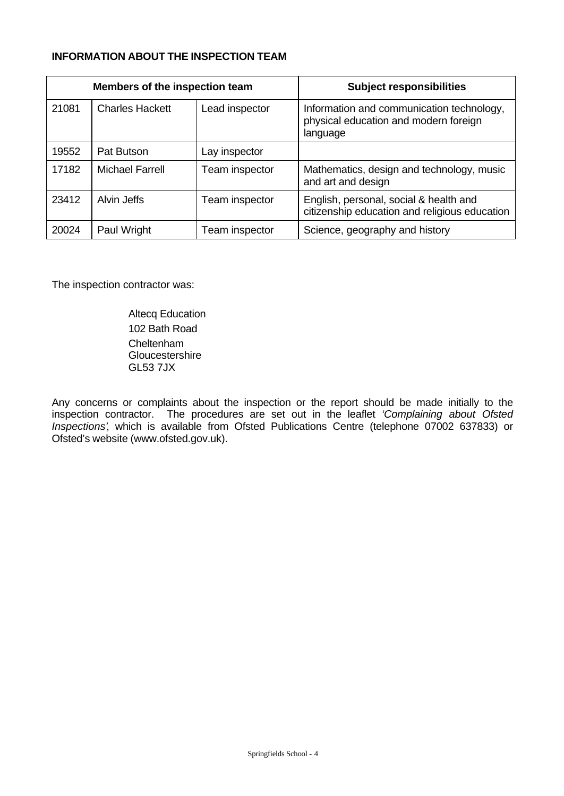# **INFORMATION ABOUT THE INSPECTION TEAM**

| Members of the inspection team |                        |                | <b>Subject responsibilities</b>                                                                |
|--------------------------------|------------------------|----------------|------------------------------------------------------------------------------------------------|
| 21081                          | <b>Charles Hackett</b> | Lead inspector | Information and communication technology,<br>physical education and modern foreign<br>language |
| 19552                          | Pat Butson             | Lay inspector  |                                                                                                |
| 17182                          | <b>Michael Farrell</b> | Team inspector | Mathematics, design and technology, music<br>and art and design                                |
| 23412                          | Alvin Jeffs            | Team inspector | English, personal, social & health and<br>citizenship education and religious education        |
| 20024                          | Paul Wright            | Team inspector | Science, geography and history                                                                 |

The inspection contractor was:

Altecq Education 102 Bath Road **Cheltenham Gloucestershire** GL53 7JX

Any concerns or complaints about the inspection or the report should be made initially to the inspection contractor. The procedures are set out in the leaflet *'Complaining about Ofsted Inspections'*, which is available from Ofsted Publications Centre (telephone 07002 637833) or Ofsted's website (www.ofsted.gov.uk).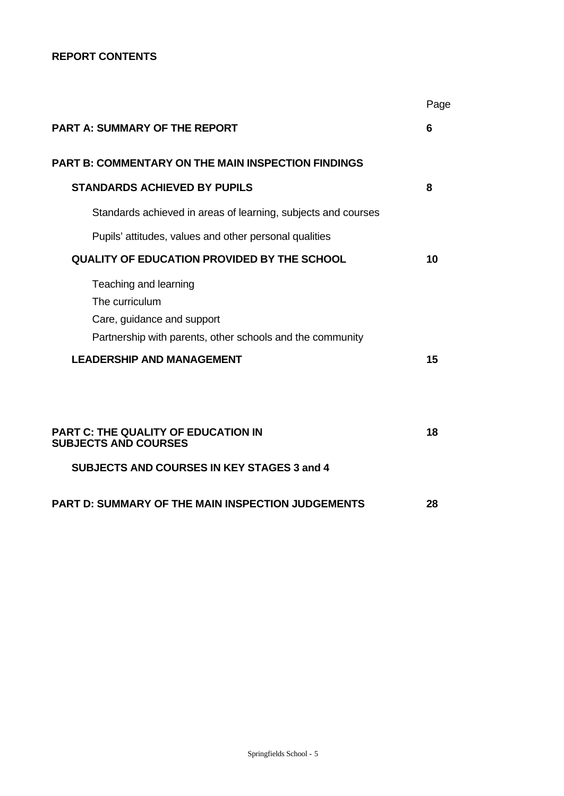# **REPORT CONTENTS**

|                                                                                                                                    | Page |
|------------------------------------------------------------------------------------------------------------------------------------|------|
| <b>PART A: SUMMARY OF THE REPORT</b>                                                                                               | 6    |
| <b>PART B: COMMENTARY ON THE MAIN INSPECTION FINDINGS</b>                                                                          |      |
| <b>STANDARDS ACHIEVED BY PUPILS</b>                                                                                                | 8    |
| Standards achieved in areas of learning, subjects and courses                                                                      |      |
| Pupils' attitudes, values and other personal qualities                                                                             |      |
| <b>QUALITY OF EDUCATION PROVIDED BY THE SCHOOL</b>                                                                                 | 10   |
| Teaching and learning<br>The curriculum<br>Care, guidance and support<br>Partnership with parents, other schools and the community |      |
| <b>LEADERSHIP AND MANAGEMENT</b>                                                                                                   | 15   |
| PART C: THE QUALITY OF EDUCATION IN<br><b>SUBJECTS AND COURSES</b>                                                                 | 18   |
| <b>SUBJECTS AND COURSES IN KEY STAGES 3 and 4</b>                                                                                  |      |
| <b>PART D: SUMMARY OF THE MAIN INSPECTION JUDGEMENTS</b>                                                                           | 28   |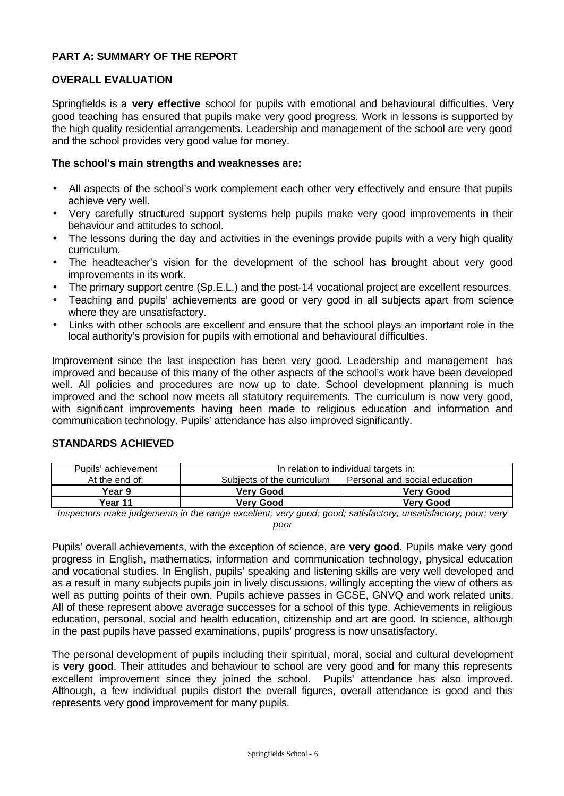# **PART A: SUMMARY OF THE REPORT**

# **OVERALL EVALUATION**

Springfields is a **very effective** school for pupils with emotional and behavioural difficulties. Very good teaching has ensured that pupils make very good progress. Work in lessons is supported by the high quality residential arrangements. Leadership and management of the school are very good and the school provides very good value for money.

## **The school's main strengths and weaknesses are:**

- All aspects of the school's work complement each other very effectively and ensure that pupils achieve very well.
- Very carefully structured support systems help pupils make very good improvements in their behaviour and attitudes to school.
- The lessons during the day and activities in the evenings provide pupils with a very high quality curriculum.
- The headteacher's vision for the development of the school has brought about very good improvements in its work.
- The primary support centre (Sp.E.L.) and the post-14 vocational project are excellent resources.
- Teaching and pupils' achievements are good or very good in all subjects apart from science where they are unsatisfactory.
- Links with other schools are excellent and ensure that the school plays an important role in the local authority's provision for pupils with emotional and behavioural difficulties.

Improvement since the last inspection has been very good. Leadership and management has improved and because of this many of the other aspects of the school's work have been developed well. All policies and procedures are now up to date. School development planning is much improved and the school now meets all statutory requirements. The curriculum is now very good, with significant improvements having been made to religious education and information and communication technology. Pupils' attendance has also improved significantly.

| Pupils' achievement | In relation to individual targets in:                       |                  |  |  |
|---------------------|-------------------------------------------------------------|------------------|--|--|
| At the end of:      | Personal and social education<br>Subjects of the curriculum |                  |  |  |
| Year 9              | <b>Verv Good</b>                                            | <b>Verv Good</b> |  |  |
| Year 11             | <b>Verv Good</b>                                            | <b>Verv Good</b> |  |  |

# **STANDARDS ACHIEVED**

*Inspectors make judgements in the range excellent; very good; good; satisfactory; unsatisfactory; poor; very poor*

Pupils' overall achievements, with the exception of science, are **very good**. Pupils make very good progress in English, mathematics, information and communication technology, physical education and vocational studies. In English, pupils' speaking and listening skills are very well developed and as a result in many subjects pupils join in lively discussions, willingly accepting the view of others as well as putting points of their own. Pupils achieve passes in GCSE, GNVQ and work related units. All of these represent above average successes for a school of this type. Achievements in religious education, personal, social and health education, citizenship and art are good. In science, although in the past pupils have passed examinations, pupils' progress is now unsatisfactory.

The personal development of pupils including their spiritual, moral, social and cultural development is **very good**. Their attitudes and behaviour to school are very good and for many this represents excellent improvement since they joined the school. Pupils' attendance has also improved. Although, a few individual pupils distort the overall figures, overall attendance is good and this represents very good improvement for many pupils.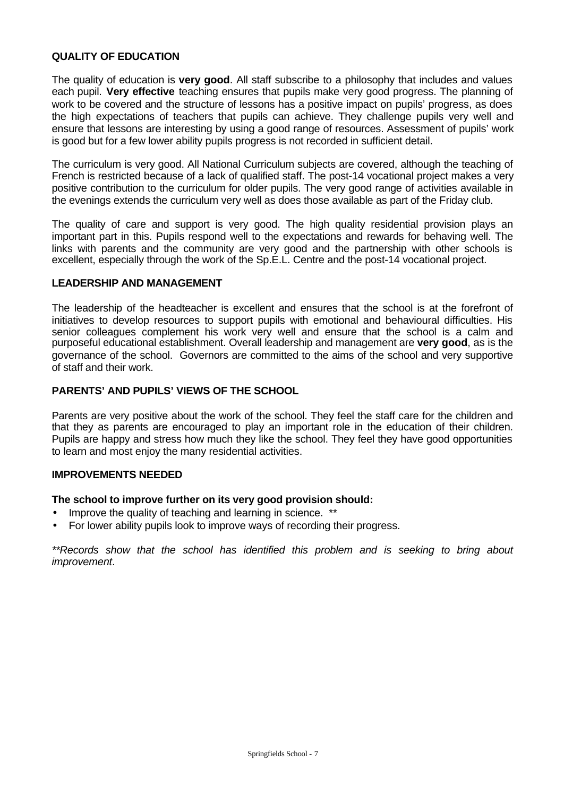# **QUALITY OF EDUCATION**

The quality of education is **very good**. All staff subscribe to a philosophy that includes and values each pupil. **Very effective** teaching ensures that pupils make very good progress. The planning of work to be covered and the structure of lessons has a positive impact on pupils' progress, as does the high expectations of teachers that pupils can achieve. They challenge pupils very well and ensure that lessons are interesting by using a good range of resources. Assessment of pupils' work is good but for a few lower ability pupils progress is not recorded in sufficient detail.

The curriculum is very good. All National Curriculum subjects are covered, although the teaching of French is restricted because of a lack of qualified staff. The post-14 vocational project makes a very positive contribution to the curriculum for older pupils. The very good range of activities available in the evenings extends the curriculum very well as does those available as part of the Friday club.

The quality of care and support is very good. The high quality residential provision plays an important part in this. Pupils respond well to the expectations and rewards for behaving well. The links with parents and the community are very good and the partnership with other schools is excellent, especially through the work of the Sp.E.L. Centre and the post-14 vocational project.

## **LEADERSHIP AND MANAGEMENT**

The leadership of the headteacher is excellent and ensures that the school is at the forefront of initiatives to develop resources to support pupils with emotional and behavioural difficulties. His senior colleagues complement his work very well and ensure that the school is a calm and purposeful educational establishment. Overall leadership and management are **very good**, as is the governance of the school. Governors are committed to the aims of the school and very supportive of staff and their work.

# **PARENTS' AND PUPILS' VIEWS OF THE SCHOOL**

Parents are very positive about the work of the school. They feel the staff care for the children and that they as parents are encouraged to play an important role in the education of their children. Pupils are happy and stress how much they like the school. They feel they have good opportunities to learn and most enjoy the many residential activities.

#### **IMPROVEMENTS NEEDED**

#### **The school to improve further on its very good provision should:**

- Improve the quality of teaching and learning in science. \*\*
- For lower ability pupils look to improve ways of recording their progress.

*\*\*Records show that the school has identified this problem and is seeking to bring about improvement*.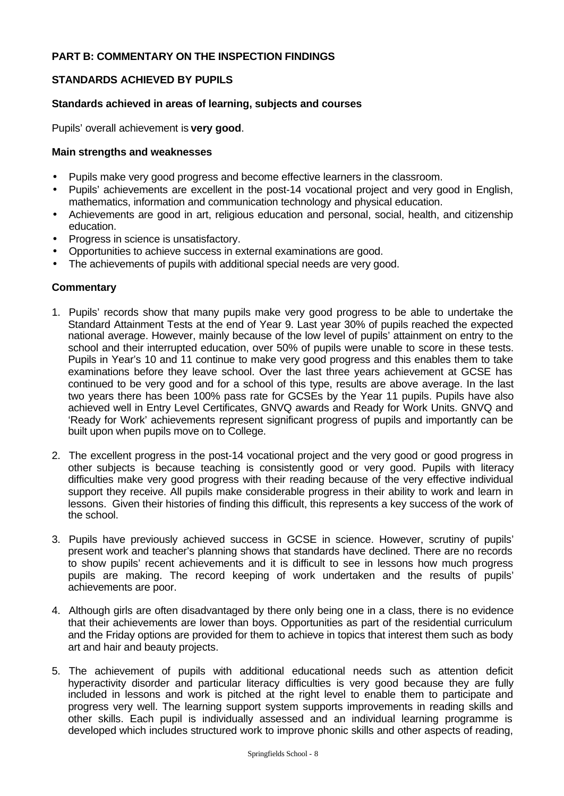# **PART B: COMMENTARY ON THE INSPECTION FINDINGS**

# **STANDARDS ACHIEVED BY PUPILS**

# **Standards achieved in areas of learning, subjects and courses**

Pupils' overall achievement is **very good**.

# **Main strengths and weaknesses**

- Pupils make very good progress and become effective learners in the classroom.
- Pupils' achievements are excellent in the post-14 vocational project and very good in English, mathematics, information and communication technology and physical education.
- Achievements are good in art, religious education and personal, social, health, and citizenship education.
- Progress in science is unsatisfactory.
- Opportunities to achieve success in external examinations are good.
- The achievements of pupils with additional special needs are very good.

- 1. Pupils' records show that many pupils make very good progress to be able to undertake the Standard Attainment Tests at the end of Year 9. Last year 30% of pupils reached the expected national average. However, mainly because of the low level of pupils' attainment on entry to the school and their interrupted education, over 50% of pupils were unable to score in these tests. Pupils in Year's 10 and 11 continue to make very good progress and this enables them to take examinations before they leave school. Over the last three years achievement at GCSE has continued to be very good and for a school of this type, results are above average. In the last two years there has been 100% pass rate for GCSEs by the Year 11 pupils. Pupils have also achieved well in Entry Level Certificates, GNVQ awards and Ready for Work Units. GNVQ and 'Ready for Work' achievements represent significant progress of pupils and importantly can be built upon when pupils move on to College.
- 2. The excellent progress in the post-14 vocational project and the very good or good progress in other subjects is because teaching is consistently good or very good. Pupils with literacy difficulties make very good progress with their reading because of the very effective individual support they receive. All pupils make considerable progress in their ability to work and learn in lessons. Given their histories of finding this difficult, this represents a key success of the work of the school.
- 3. Pupils have previously achieved success in GCSE in science. However, scrutiny of pupils' present work and teacher's planning shows that standards have declined. There are no records to show pupils' recent achievements and it is difficult to see in lessons how much progress pupils are making. The record keeping of work undertaken and the results of pupils' achievements are poor.
- 4. Although girls are often disadvantaged by there only being one in a class, there is no evidence that their achievements are lower than boys. Opportunities as part of the residential curriculum and the Friday options are provided for them to achieve in topics that interest them such as body art and hair and beauty projects.
- 5. The achievement of pupils with additional educational needs such as attention deficit hyperactivity disorder and particular literacy difficulties is very good because they are fully included in lessons and work is pitched at the right level to enable them to participate and progress very well. The learning support system supports improvements in reading skills and other skills. Each pupil is individually assessed and an individual learning programme is developed which includes structured work to improve phonic skills and other aspects of reading,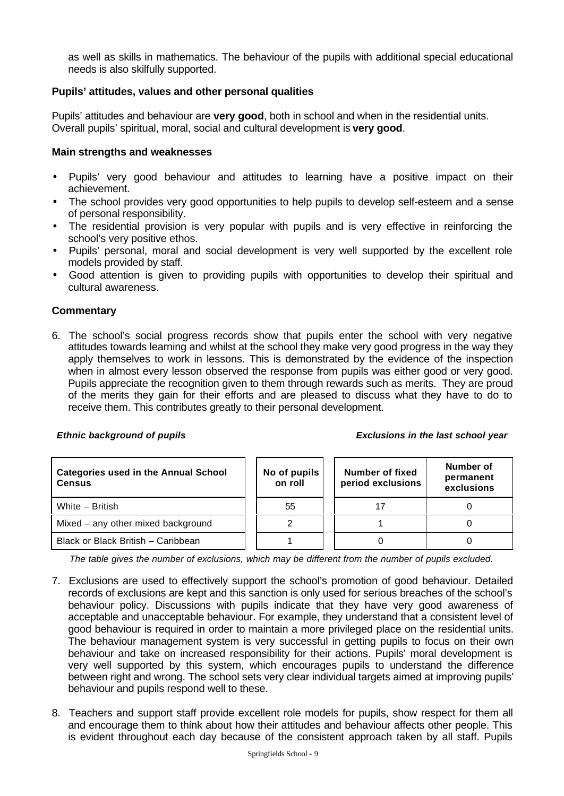as well as skills in mathematics. The behaviour of the pupils with additional special educational needs is also skilfully supported.

# **Pupils' attitudes, values and other personal qualities**

Pupils' attitudes and behaviour are **very good**, both in school and when in the residential units. Overall pupils' spiritual, moral, social and cultural development is **very good**.

## **Main strengths and weaknesses**

- Pupils' very good behaviour and attitudes to learning have a positive impact on their achievement.
- The school provides very good opportunities to help pupils to develop self-esteem and a sense of personal responsibility.
- The residential provision is very popular with pupils and is very effective in reinforcing the school's very positive ethos.
- Pupils' personal, moral and social development is very well supported by the excellent role models provided by staff.
- Good attention is given to providing pupils with opportunities to develop their spiritual and cultural awareness.

## **Commentary**

6. The school's social progress records show that pupils enter the school with very negative attitudes towards learning and whilst at the school they make very good progress in the way they apply themselves to work in lessons. This is demonstrated by the evidence of the inspection when in almost every lesson observed the response from pupils was either good or very good. Pupils appreciate the recognition given to them through rewards such as merits. They are proud of the merits they gain for their efforts and are pleased to discuss what they have to do to receive them. This contributes greatly to their personal development.

#### *Ethnic background of pupils Exclusions in the last school year*

| <b>Categories used in the Annual School</b><br><b>Census</b> | No of pupils<br>on roll | <b>Number of fixed</b><br>period exclusions | Number of<br>permanent<br>exclusions |  |
|--------------------------------------------------------------|-------------------------|---------------------------------------------|--------------------------------------|--|
| White - British                                              | 55                      |                                             |                                      |  |
| Mixed – any other mixed background                           |                         |                                             |                                      |  |
| Black or Black British - Caribbean                           |                         |                                             |                                      |  |

*The table gives the number of exclusions, which may be different from the number of pupils excluded.*

- 7. Exclusions are used to effectively support the school's promotion of good behaviour. Detailed records of exclusions are kept and this sanction is only used for serious breaches of the school's behaviour policy. Discussions with pupils indicate that they have very good awareness of acceptable and unacceptable behaviour. For example, they understand that a consistent level of good behaviour is required in order to maintain a more privileged place on the residential units. The behaviour management system is very successful in getting pupils to focus on their own behaviour and take on increased responsibility for their actions. Pupils' moral development is very well supported by this system, which encourages pupils to understand the difference between right and wrong. The school sets very clear individual targets aimed at improving pupils' behaviour and pupils respond well to these.
- 8. Teachers and support staff provide excellent role models for pupils, show respect for them all and encourage them to think about how their attitudes and behaviour affects other people. This is evident throughout each day because of the consistent approach taken by all staff. Pupils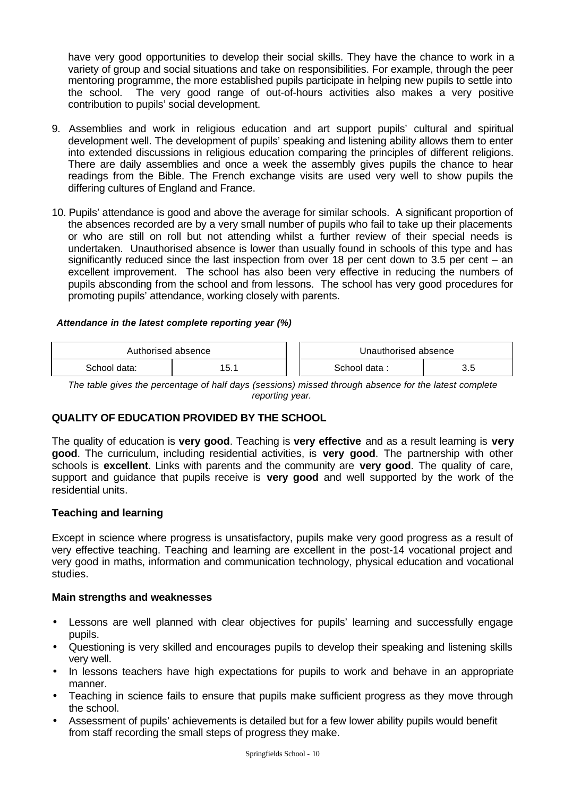have very good opportunities to develop their social skills. They have the chance to work in a variety of group and social situations and take on responsibilities. For example, through the peer mentoring programme, the more established pupils participate in helping new pupils to settle into the school. The very good range of out-of-hours activities also makes a very positive contribution to pupils' social development.

- 9. Assemblies and work in religious education and art support pupils' cultural and spiritual development well. The development of pupils' speaking and listening ability allows them to enter into extended discussions in religious education comparing the principles of different religions. There are daily assemblies and once a week the assembly gives pupils the chance to hear readings from the Bible. The French exchange visits are used very well to show pupils the differing cultures of England and France.
- 10. Pupils' attendance is good and above the average for similar schools. A significant proportion of the absences recorded are by a very small number of pupils who fail to take up their placements or who are still on roll but not attending whilst a further review of their special needs is undertaken. Unauthorised absence is lower than usually found in schools of this type and has significantly reduced since the last inspection from over 18 per cent down to 3.5 per cent – an excellent improvement. The school has also been very effective in reducing the numbers of pupils absconding from the school and from lessons. The school has very good procedures for promoting pupils' attendance, working closely with parents.

## *Attendance in the latest complete reporting year (%)*

| Authorised absence       |  |  | Unauthorised absence     |     |
|--------------------------|--|--|--------------------------|-----|
| ᄃ<br>School data:<br>. ن |  |  | School data <sup>.</sup> | v.v |

*The table gives the percentage of half days (sessions) missed through absence for the latest complete reporting year.*

# **QUALITY OF EDUCATION PROVIDED BY THE SCHOOL**

The quality of education is **very good**. Teaching is **very effective** and as a result learning is **very good**. The curriculum, including residential activities, is **very good**. The partnership with other schools is **excellent**. Links with parents and the community are **very good**. The quality of care, support and guidance that pupils receive is **very good** and well supported by the work of the residential units.

# **Teaching and learning**

Except in science where progress is unsatisfactory, pupils make very good progress as a result of very effective teaching. Teaching and learning are excellent in the post-14 vocational project and very good in maths, information and communication technology, physical education and vocational studies.

#### **Main strengths and weaknesses**

- Lessons are well planned with clear objectives for pupils' learning and successfully engage pupils.
- Questioning is very skilled and encourages pupils to develop their speaking and listening skills very well.
- In lessons teachers have high expectations for pupils to work and behave in an appropriate manner.
- Teaching in science fails to ensure that pupils make sufficient progress as they move through the school.
- Assessment of pupils' achievements is detailed but for a few lower ability pupils would benefit from staff recording the small steps of progress they make.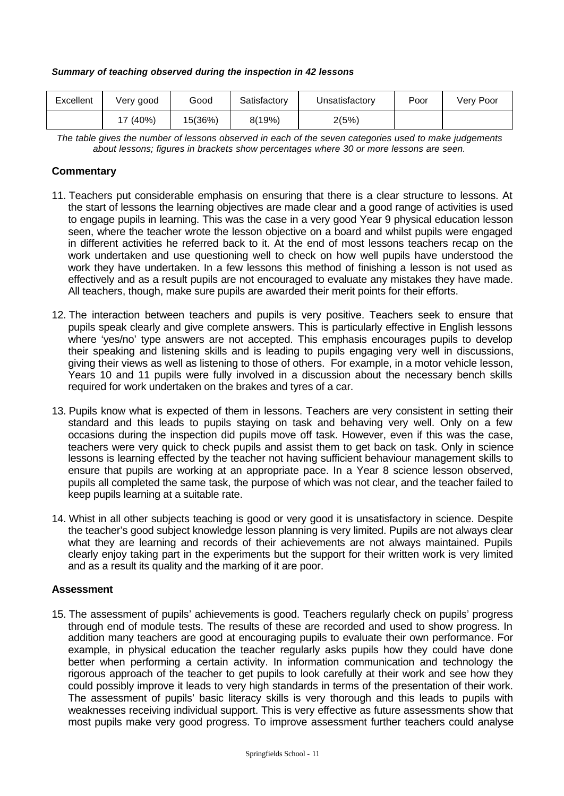#### *Summary of teaching observed during the inspection in 42 lessons*

| Excellent | Verv good | Good    | Satisfactory | Unsatisfactory | Poor | Very Poor |
|-----------|-----------|---------|--------------|----------------|------|-----------|
|           | (40%)     | 15(36%) | 8(19%)       | 2(5%)          |      |           |

*The table gives the number of lessons observed in each of the seven categories used to make judgements about lessons; figures in brackets show percentages where 30 or more lessons are seen.*

# **Commentary**

- 11. Teachers put considerable emphasis on ensuring that there is a clear structure to lessons. At the start of lessons the learning objectives are made clear and a good range of activities is used to engage pupils in learning. This was the case in a very good Year 9 physical education lesson seen, where the teacher wrote the lesson objective on a board and whilst pupils were engaged in different activities he referred back to it. At the end of most lessons teachers recap on the work undertaken and use questioning well to check on how well pupils have understood the work they have undertaken. In a few lessons this method of finishing a lesson is not used as effectively and as a result pupils are not encouraged to evaluate any mistakes they have made. All teachers, though, make sure pupils are awarded their merit points for their efforts.
- 12. The interaction between teachers and pupils is very positive. Teachers seek to ensure that pupils speak clearly and give complete answers. This is particularly effective in English lessons where 'yes/no' type answers are not accepted. This emphasis encourages pupils to develop their speaking and listening skills and is leading to pupils engaging very well in discussions, giving their views as well as listening to those of others. For example, in a motor vehicle lesson, Years 10 and 11 pupils were fully involved in a discussion about the necessary bench skills required for work undertaken on the brakes and tyres of a car.
- 13. Pupils know what is expected of them in lessons. Teachers are very consistent in setting their standard and this leads to pupils staying on task and behaving very well. Only on a few occasions during the inspection did pupils move off task. However, even if this was the case, teachers were very quick to check pupils and assist them to get back on task. Only in science lessons is learning effected by the teacher not having sufficient behaviour management skills to ensure that pupils are working at an appropriate pace. In a Year 8 science lesson observed, pupils all completed the same task, the purpose of which was not clear, and the teacher failed to keep pupils learning at a suitable rate.
- 14. Whist in all other subjects teaching is good or very good it is unsatisfactory in science. Despite the teacher's good subject knowledge lesson planning is very limited. Pupils are not always clear what they are learning and records of their achievements are not always maintained. Pupils clearly enjoy taking part in the experiments but the support for their written work is very limited and as a result its quality and the marking of it are poor.

# **Assessment**

15. The assessment of pupils' achievements is good. Teachers regularly check on pupils' progress through end of module tests. The results of these are recorded and used to show progress. In addition many teachers are good at encouraging pupils to evaluate their own performance. For example, in physical education the teacher regularly asks pupils how they could have done better when performing a certain activity. In information communication and technology the rigorous approach of the teacher to get pupils to look carefully at their work and see how they could possibly improve it leads to very high standards in terms of the presentation of their work. The assessment of pupils' basic literacy skills is very thorough and this leads to pupils with weaknesses receiving individual support. This is very effective as future assessments show that most pupils make very good progress. To improve assessment further teachers could analyse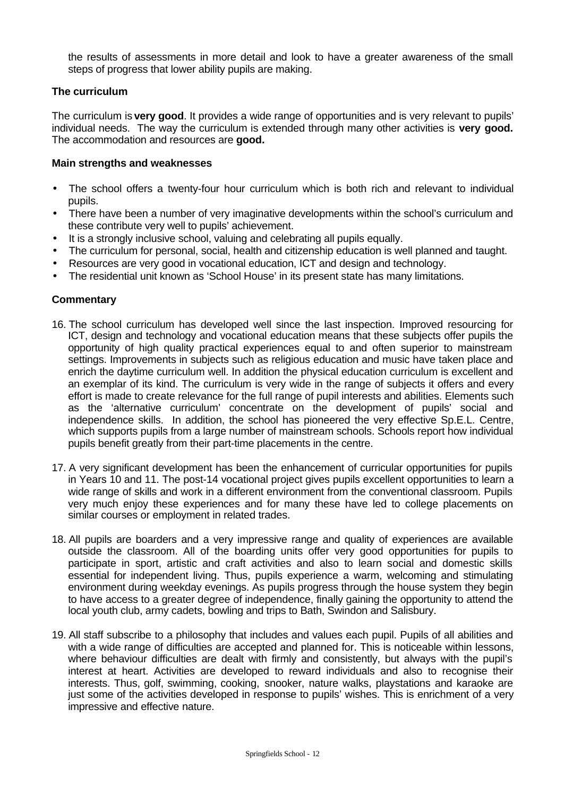the results of assessments in more detail and look to have a greater awareness of the small steps of progress that lower ability pupils are making.

## **The curriculum**

The curriculum is **very good**. It provides a wide range of opportunities and is very relevant to pupils' individual needs. The way the curriculum is extended through many other activities is **very good.** The accommodation and resources are **good.**

#### **Main strengths and weaknesses**

- The school offers a twenty-four hour curriculum which is both rich and relevant to individual pupils.
- There have been a number of very imaginative developments within the school's curriculum and these contribute very well to pupils' achievement.
- It is a strongly inclusive school, valuing and celebrating all pupils equally.
- The curriculum for personal, social, health and citizenship education is well planned and taught.
- Resources are very good in vocational education, ICT and design and technology.
- The residential unit known as 'School House' in its present state has many limitations.

- 16. The school curriculum has developed well since the last inspection. Improved resourcing for ICT, design and technology and vocational education means that these subjects offer pupils the opportunity of high quality practical experiences equal to and often superior to mainstream settings. Improvements in subjects such as religious education and music have taken place and enrich the daytime curriculum well. In addition the physical education curriculum is excellent and an exemplar of its kind. The curriculum is very wide in the range of subjects it offers and every effort is made to create relevance for the full range of pupil interests and abilities. Elements such as the 'alternative curriculum' concentrate on the development of pupils' social and independence skills. In addition, the school has pioneered the very effective Sp.E.L. Centre, which supports pupils from a large number of mainstream schools. Schools report how individual pupils benefit greatly from their part-time placements in the centre.
- 17. A very significant development has been the enhancement of curricular opportunities for pupils in Years 10 and 11. The post-14 vocational project gives pupils excellent opportunities to learn a wide range of skills and work in a different environment from the conventional classroom. Pupils very much enjoy these experiences and for many these have led to college placements on similar courses or employment in related trades.
- 18. All pupils are boarders and a very impressive range and quality of experiences are available outside the classroom. All of the boarding units offer very good opportunities for pupils to participate in sport, artistic and craft activities and also to learn social and domestic skills essential for independent living. Thus, pupils experience a warm, welcoming and stimulating environment during weekday evenings. As pupils progress through the house system they begin to have access to a greater degree of independence, finally gaining the opportunity to attend the local youth club, army cadets, bowling and trips to Bath, Swindon and Salisbury.
- 19. All staff subscribe to a philosophy that includes and values each pupil. Pupils of all abilities and with a wide range of difficulties are accepted and planned for. This is noticeable within lessons, where behaviour difficulties are dealt with firmly and consistently, but always with the pupil's interest at heart. Activities are developed to reward individuals and also to recognise their interests. Thus, golf, swimming, cooking, snooker, nature walks, playstations and karaoke are just some of the activities developed in response to pupils' wishes. This is enrichment of a very impressive and effective nature.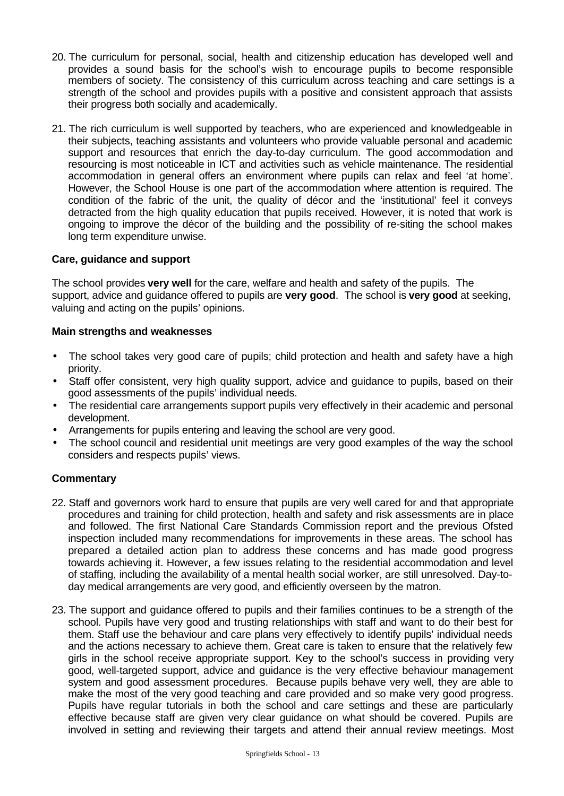- 20. The curriculum for personal, social, health and citizenship education has developed well and provides a sound basis for the school's wish to encourage pupils to become responsible members of society. The consistency of this curriculum across teaching and care settings is a strength of the school and provides pupils with a positive and consistent approach that assists their progress both socially and academically.
- 21. The rich curriculum is well supported by teachers, who are experienced and knowledgeable in their subjects, teaching assistants and volunteers who provide valuable personal and academic support and resources that enrich the day-to-day curriculum. The good accommodation and resourcing is most noticeable in ICT and activities such as vehicle maintenance. The residential accommodation in general offers an environment where pupils can relax and feel 'at home'. However, the School House is one part of the accommodation where attention is required. The condition of the fabric of the unit, the quality of décor and the 'institutional' feel it conveys detracted from the high quality education that pupils received. However, it is noted that work is ongoing to improve the décor of the building and the possibility of re-siting the school makes long term expenditure unwise.

# **Care, guidance and support**

The school provides **very well** for the care, welfare and health and safety of the pupils. The support, advice and guidance offered to pupils are **very good**. The school is **very good** at seeking, valuing and acting on the pupils' opinions.

# **Main strengths and weaknesses**

- The school takes very good care of pupils; child protection and health and safety have a high priority.
- Staff offer consistent, very high quality support, advice and quidance to pupils, based on their good assessments of the pupils' individual needs.
- The residential care arrangements support pupils very effectively in their academic and personal development.
- Arrangements for pupils entering and leaving the school are very good.
- The school council and residential unit meetings are very good examples of the way the school considers and respects pupils' views.

- 22. Staff and governors work hard to ensure that pupils are very well cared for and that appropriate procedures and training for child protection, health and safety and risk assessments are in place and followed. The first National Care Standards Commission report and the previous Ofsted inspection included many recommendations for improvements in these areas. The school has prepared a detailed action plan to address these concerns and has made good progress towards achieving it. However, a few issues relating to the residential accommodation and level of staffing, including the availability of a mental health social worker, are still unresolved. Day-today medical arrangements are very good, and efficiently overseen by the matron.
- 23. The support and guidance offered to pupils and their families continues to be a strength of the school. Pupils have very good and trusting relationships with staff and want to do their best for them. Staff use the behaviour and care plans very effectively to identify pupils' individual needs and the actions necessary to achieve them. Great care is taken to ensure that the relatively few girls in the school receive appropriate support. Key to the school's success in providing very good, well-targeted support, advice and guidance is the very effective behaviour management system and good assessment procedures. Because pupils behave very well, they are able to make the most of the very good teaching and care provided and so make very good progress. Pupils have regular tutorials in both the school and care settings and these are particularly effective because staff are given very clear guidance on what should be covered. Pupils are involved in setting and reviewing their targets and attend their annual review meetings. Most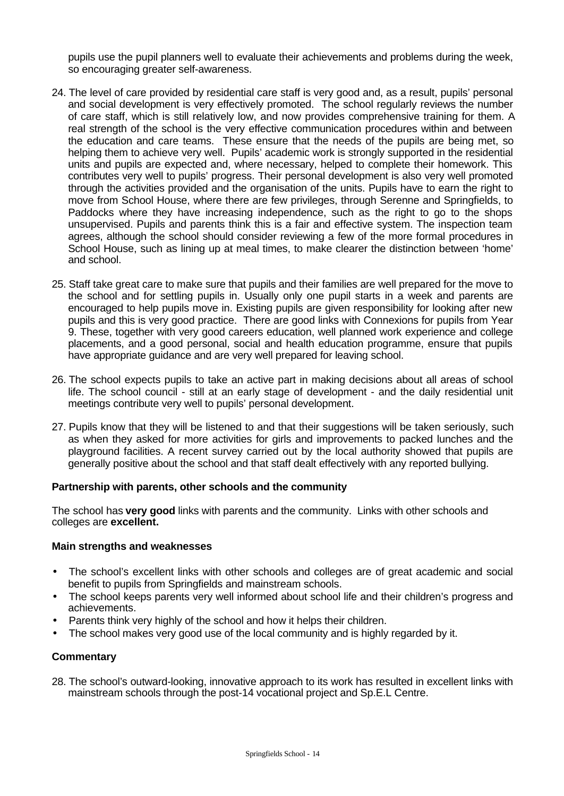pupils use the pupil planners well to evaluate their achievements and problems during the week, so encouraging greater self-awareness.

- 24. The level of care provided by residential care staff is very good and, as a result, pupils' personal and social development is very effectively promoted. The school regularly reviews the number of care staff, which is still relatively low, and now provides comprehensive training for them. A real strength of the school is the very effective communication procedures within and between the education and care teams. These ensure that the needs of the pupils are being met, so helping them to achieve very well. Pupils' academic work is strongly supported in the residential units and pupils are expected and, where necessary, helped to complete their homework. This contributes very well to pupils' progress. Their personal development is also very well promoted through the activities provided and the organisation of the units. Pupils have to earn the right to move from School House, where there are few privileges, through Serenne and Springfields, to Paddocks where they have increasing independence, such as the right to go to the shops unsupervised. Pupils and parents think this is a fair and effective system. The inspection team agrees, although the school should consider reviewing a few of the more formal procedures in School House, such as lining up at meal times, to make clearer the distinction between 'home' and school.
- 25. Staff take great care to make sure that pupils and their families are well prepared for the move to the school and for settling pupils in. Usually only one pupil starts in a week and parents are encouraged to help pupils move in. Existing pupils are given responsibility for looking after new pupils and this is very good practice. There are good links with Connexions for pupils from Year 9. These, together with very good careers education, well planned work experience and college placements, and a good personal, social and health education programme, ensure that pupils have appropriate guidance and are very well prepared for leaving school.
- 26. The school expects pupils to take an active part in making decisions about all areas of school life. The school council - still at an early stage of development - and the daily residential unit meetings contribute very well to pupils' personal development.
- 27. Pupils know that they will be listened to and that their suggestions will be taken seriously, such as when they asked for more activities for girls and improvements to packed lunches and the playground facilities. A recent survey carried out by the local authority showed that pupils are generally positive about the school and that staff dealt effectively with any reported bullying.

# **Partnership with parents, other schools and the community**

The school has **very good** links with parents and the community. Links with other schools and colleges are **excellent.**

# **Main strengths and weaknesses**

- The school's excellent links with other schools and colleges are of great academic and social benefit to pupils from Springfields and mainstream schools.
- The school keeps parents very well informed about school life and their children's progress and achievements.
- Parents think very highly of the school and how it helps their children.
- The school makes very good use of the local community and is highly regarded by it.

# **Commentary**

28. The school's outward-looking, innovative approach to its work has resulted in excellent links with mainstream schools through the post-14 vocational project and Sp.E.L Centre.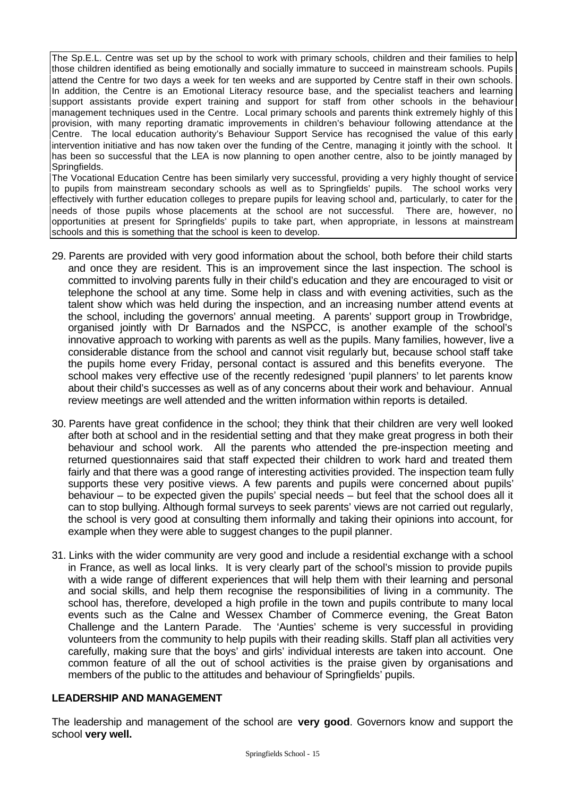The Sp.E.L. Centre was set up by the school to work with primary schools, children and their families to help those children identified as being emotionally and socially immature to succeed in mainstream schools. Pupils attend the Centre for two days a week for ten weeks and are supported by Centre staff in their own schools. In addition, the Centre is an Emotional Literacy resource base, and the specialist teachers and learning support assistants provide expert training and support for staff from other schools in the behaviour management techniques used in the Centre. Local primary schools and parents think extremely highly of this provision, with many reporting dramatic improvements in children's behaviour following attendance at the Centre. The local education authority's Behaviour Support Service has recognised the value of this early intervention initiative and has now taken over the funding of the Centre, managing it jointly with the school. It has been so successful that the LEA is now planning to open another centre, also to be jointly managed by Springfields.

The Vocational Education Centre has been similarly very successful, providing a very highly thought of service to pupils from mainstream secondary schools as well as to Springfields' pupils. The school works very effectively with further education colleges to prepare pupils for leaving school and, particularly, to cater for the needs of those pupils whose placements at the school are not successful. There are, however, no opportunities at present for Springfields' pupils to take part, when appropriate, in lessons at mainstream schools and this is something that the school is keen to develop.

- 29. Parents are provided with very good information about the school, both before their child starts and once they are resident. This is an improvement since the last inspection. The school is committed to involving parents fully in their child's education and they are encouraged to visit or telephone the school at any time. Some help in class and with evening activities, such as the talent show which was held during the inspection, and an increasing number attend events at the school, including the governors' annual meeting. A parents' support group in Trowbridge, organised jointly with Dr Barnados and the NSPCC, is another example of the school's innovative approach to working with parents as well as the pupils. Many families, however, live a considerable distance from the school and cannot visit regularly but, because school staff take the pupils home every Friday, personal contact is assured and this benefits everyone. The school makes very effective use of the recently redesigned 'pupil planners' to let parents know about their child's successes as well as of any concerns about their work and behaviour. Annual review meetings are well attended and the written information within reports is detailed.
- 30. Parents have great confidence in the school; they think that their children are very well looked after both at school and in the residential setting and that they make great progress in both their behaviour and school work. All the parents who attended the pre-inspection meeting and returned questionnaires said that staff expected their children to work hard and treated them fairly and that there was a good range of interesting activities provided. The inspection team fully supports these very positive views. A few parents and pupils were concerned about pupils' behaviour – to be expected given the pupils' special needs – but feel that the school does all it can to stop bullying. Although formal surveys to seek parents' views are not carried out regularly, the school is very good at consulting them informally and taking their opinions into account, for example when they were able to suggest changes to the pupil planner.
- 31. Links with the wider community are very good and include a residential exchange with a school in France, as well as local links. It is very clearly part of the school's mission to provide pupils with a wide range of different experiences that will help them with their learning and personal and social skills, and help them recognise the responsibilities of living in a community. The school has, therefore, developed a high profile in the town and pupils contribute to many local events such as the Calne and Wessex Chamber of Commerce evening, the Great Baton Challenge and the Lantern Parade. The 'Aunties' scheme is very successful in providing volunteers from the community to help pupils with their reading skills. Staff plan all activities very carefully, making sure that the boys' and girls' individual interests are taken into account. One common feature of all the out of school activities is the praise given by organisations and members of the public to the attitudes and behaviour of Springfields' pupils.

# **LEADERSHIP AND MANAGEMENT**

The leadership and management of the school are **very good**. Governors know and support the school **very well.**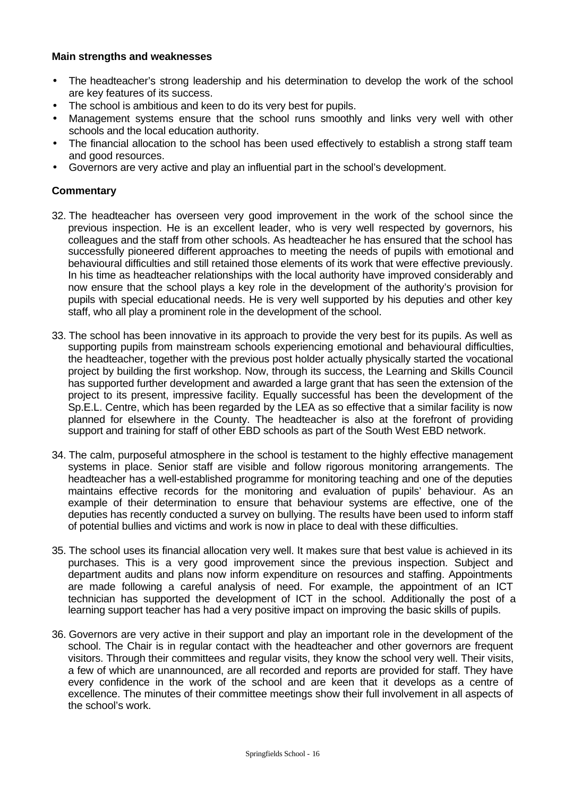## **Main strengths and weaknesses**

- The headteacher's strong leadership and his determination to develop the work of the school are key features of its success.
- The school is ambitious and keen to do its very best for pupils.
- Management systems ensure that the school runs smoothly and links very well with other schools and the local education authority.
- The financial allocation to the school has been used effectively to establish a strong staff team and good resources.
- Governors are very active and play an influential part in the school's development.

- 32. The headteacher has overseen very good improvement in the work of the school since the previous inspection. He is an excellent leader, who is very well respected by governors, his colleagues and the staff from other schools. As headteacher he has ensured that the school has successfully pioneered different approaches to meeting the needs of pupils with emotional and behavioural difficulties and still retained those elements of its work that were effective previously. In his time as headteacher relationships with the local authority have improved considerably and now ensure that the school plays a key role in the development of the authority's provision for pupils with special educational needs. He is very well supported by his deputies and other key staff, who all play a prominent role in the development of the school.
- 33. The school has been innovative in its approach to provide the very best for its pupils. As well as supporting pupils from mainstream schools experiencing emotional and behavioural difficulties, the headteacher, together with the previous post holder actually physically started the vocational project by building the first workshop. Now, through its success, the Learning and Skills Council has supported further development and awarded a large grant that has seen the extension of the project to its present, impressive facility. Equally successful has been the development of the Sp.E.L. Centre, which has been regarded by the LEA as so effective that a similar facility is now planned for elsewhere in the County. The headteacher is also at the forefront of providing support and training for staff of other EBD schools as part of the South West EBD network.
- 34. The calm, purposeful atmosphere in the school is testament to the highly effective management systems in place. Senior staff are visible and follow rigorous monitoring arrangements. The headteacher has a well-established programme for monitoring teaching and one of the deputies maintains effective records for the monitoring and evaluation of pupils' behaviour. As an example of their determination to ensure that behaviour systems are effective, one of the deputies has recently conducted a survey on bullying. The results have been used to inform staff of potential bullies and victims and work is now in place to deal with these difficulties.
- 35. The school uses its financial allocation very well. It makes sure that best value is achieved in its purchases. This is a very good improvement since the previous inspection. Subject and department audits and plans now inform expenditure on resources and staffing. Appointments are made following a careful analysis of need. For example, the appointment of an ICT technician has supported the development of ICT in the school. Additionally the post of a learning support teacher has had a very positive impact on improving the basic skills of pupils.
- 36. Governors are very active in their support and play an important role in the development of the school. The Chair is in regular contact with the headteacher and other governors are frequent visitors. Through their committees and regular visits, they know the school very well. Their visits, a few of which are unannounced, are all recorded and reports are provided for staff. They have every confidence in the work of the school and are keen that it develops as a centre of excellence. The minutes of their committee meetings show their full involvement in all aspects of the school's work.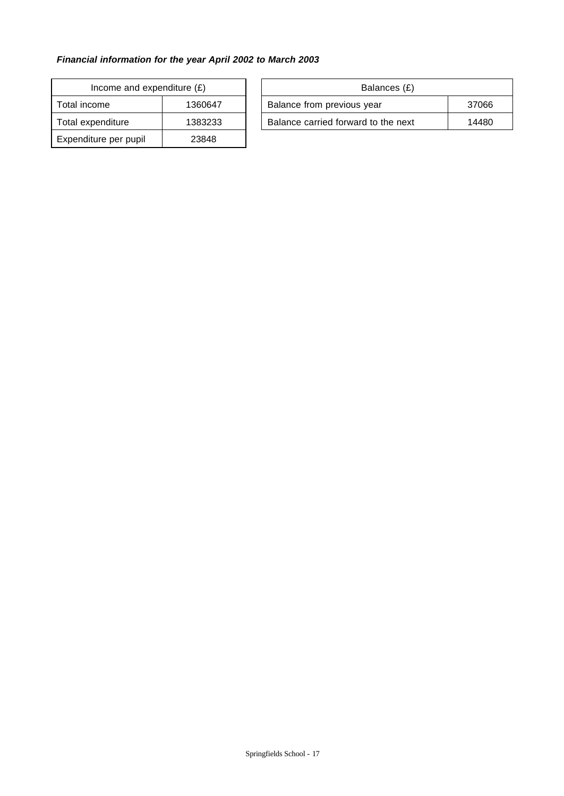# *Financial information for the year April 2002 to March 2003*

| Income and expenditure $(E)$ |         |  | Balances (£)                        |
|------------------------------|---------|--|-------------------------------------|
| Total income<br>1360647      |         |  | Balance from previous year          |
| Total expenditure            | 1383233 |  | Balance carried forward to the next |
| Expenditure per pupil        | 23848   |  |                                     |

| Income and expenditure $(E)$ |         |                            | Balances (£)                        |       |
|------------------------------|---------|----------------------------|-------------------------------------|-------|
| Total income                 | 1360647 | Balance from previous year |                                     | 37066 |
| Total expenditure            | 1383233 |                            | Balance carried forward to the next | 14480 |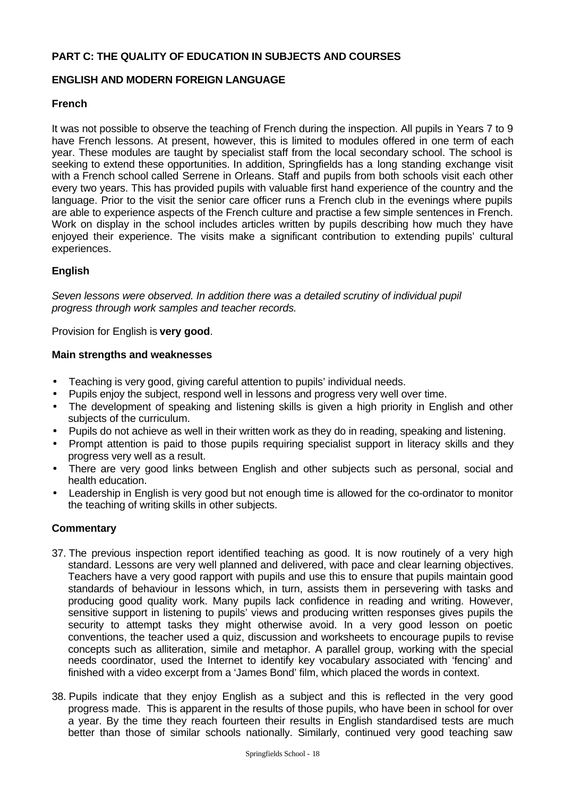# **PART C: THE QUALITY OF EDUCATION IN SUBJECTS AND COURSES**

# **ENGLISH AND MODERN FOREIGN LANGUAGE**

# **French**

It was not possible to observe the teaching of French during the inspection. All pupils in Years 7 to 9 have French lessons. At present, however, this is limited to modules offered in one term of each year. These modules are taught by specialist staff from the local secondary school. The school is seeking to extend these opportunities. In addition, Springfields has a long standing exchange visit with a French school called Serrene in Orleans. Staff and pupils from both schools visit each other every two years. This has provided pupils with valuable first hand experience of the country and the language. Prior to the visit the senior care officer runs a French club in the evenings where pupils are able to experience aspects of the French culture and practise a few simple sentences in French. Work on display in the school includes articles written by pupils describing how much they have enjoyed their experience. The visits make a significant contribution to extending pupils' cultural experiences.

# **English**

*Seven lessons were observed. In addition there was a detailed scrutiny of individual pupil progress through work samples and teacher records.*

Provision for English is **very good**.

## **Main strengths and weaknesses**

- Teaching is very good, giving careful attention to pupils' individual needs.
- Pupils enjoy the subject, respond well in lessons and progress very well over time.
- The development of speaking and listening skills is given a high priority in English and other subjects of the curriculum.
- Pupils do not achieve as well in their written work as they do in reading, speaking and listening.
- Prompt attention is paid to those pupils requiring specialist support in literacy skills and they progress very well as a result.
- There are very good links between English and other subjects such as personal, social and health education.
- Leadership in English is very good but not enough time is allowed for the co-ordinator to monitor the teaching of writing skills in other subjects.

- 37. The previous inspection report identified teaching as good. It is now routinely of a very high standard. Lessons are very well planned and delivered, with pace and clear learning objectives. Teachers have a very good rapport with pupils and use this to ensure that pupils maintain good standards of behaviour in lessons which, in turn, assists them in persevering with tasks and producing good quality work. Many pupils lack confidence in reading and writing. However, sensitive support in listening to pupils' views and producing written responses gives pupils the security to attempt tasks they might otherwise avoid. In a very good lesson on poetic conventions, the teacher used a quiz, discussion and worksheets to encourage pupils to revise concepts such as alliteration, simile and metaphor. A parallel group, working with the special needs coordinator, used the Internet to identify key vocabulary associated with 'fencing' and finished with a video excerpt from a 'James Bond' film, which placed the words in context.
- 38. Pupils indicate that they enjoy English as a subject and this is reflected in the very good progress made. This is apparent in the results of those pupils, who have been in school for over a year. By the time they reach fourteen their results in English standardised tests are much better than those of similar schools nationally. Similarly, continued very good teaching saw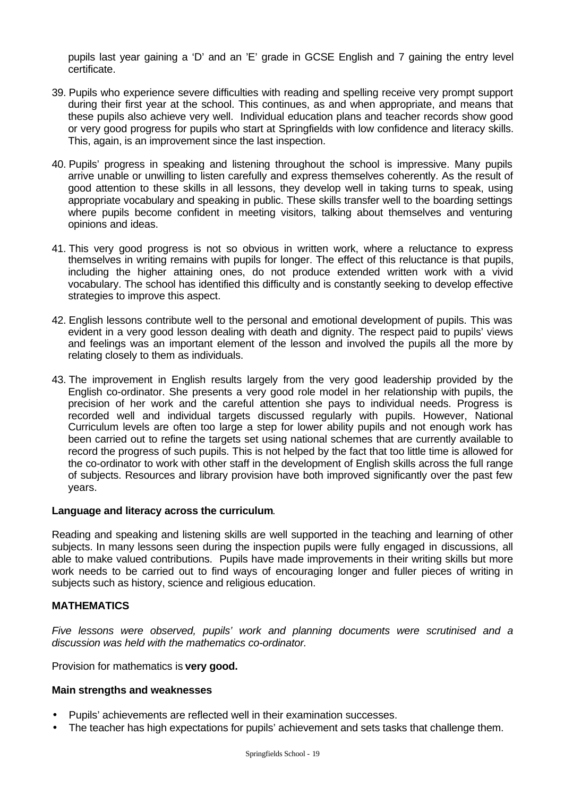pupils last year gaining a 'D' and an 'E' grade in GCSE English and 7 gaining the entry level certificate.

- 39. Pupils who experience severe difficulties with reading and spelling receive very prompt support during their first year at the school. This continues, as and when appropriate, and means that these pupils also achieve very well. Individual education plans and teacher records show good or very good progress for pupils who start at Springfields with low confidence and literacy skills. This, again, is an improvement since the last inspection.
- 40. Pupils' progress in speaking and listening throughout the school is impressive. Many pupils arrive unable or unwilling to listen carefully and express themselves coherently. As the result of good attention to these skills in all lessons, they develop well in taking turns to speak, using appropriate vocabulary and speaking in public. These skills transfer well to the boarding settings where pupils become confident in meeting visitors, talking about themselves and venturing opinions and ideas.
- 41. This very good progress is not so obvious in written work, where a reluctance to express themselves in writing remains with pupils for longer. The effect of this reluctance is that pupils, including the higher attaining ones, do not produce extended written work with a vivid vocabulary. The school has identified this difficulty and is constantly seeking to develop effective strategies to improve this aspect.
- 42. English lessons contribute well to the personal and emotional development of pupils. This was evident in a very good lesson dealing with death and dignity. The respect paid to pupils' views and feelings was an important element of the lesson and involved the pupils all the more by relating closely to them as individuals.
- 43. The improvement in English results largely from the very good leadership provided by the English co-ordinator. She presents a very good role model in her relationship with pupils, the precision of her work and the careful attention she pays to individual needs. Progress is recorded well and individual targets discussed regularly with pupils. However, National Curriculum levels are often too large a step for lower ability pupils and not enough work has been carried out to refine the targets set using national schemes that are currently available to record the progress of such pupils. This is not helped by the fact that too little time is allowed for the co-ordinator to work with other staff in the development of English skills across the full range of subjects. Resources and library provision have both improved significantly over the past few years.

# **Language and literacy across the curriculum**.

Reading and speaking and listening skills are well supported in the teaching and learning of other subjects. In many lessons seen during the inspection pupils were fully engaged in discussions, all able to make valued contributions. Pupils have made improvements in their writing skills but more work needs to be carried out to find ways of encouraging longer and fuller pieces of writing in subjects such as history, science and religious education.

## **MATHEMATICS**

*Five lessons were observed, pupils' work and planning documents were scrutinised and a discussion was held with the mathematics co-ordinator.*

Provision for mathematics is **very good.**

#### **Main strengths and weaknesses**

- Pupils' achievements are reflected well in their examination successes.
- The teacher has high expectations for pupils' achievement and sets tasks that challenge them.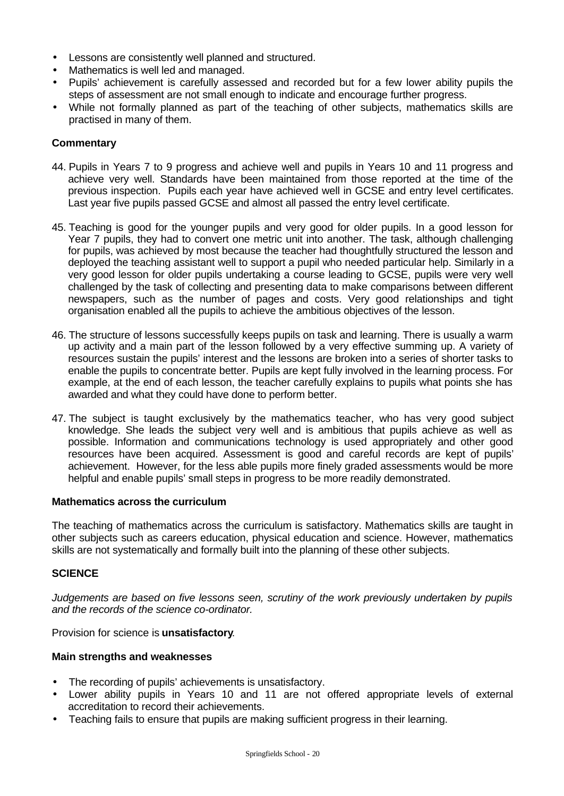- Lessons are consistently well planned and structured.
- Mathematics is well led and managed.
- Pupils' achievement is carefully assessed and recorded but for a few lower ability pupils the steps of assessment are not small enough to indicate and encourage further progress.
- While not formally planned as part of the teaching of other subjects, mathematics skills are practised in many of them.

# **Commentary**

- 44. Pupils in Years 7 to 9 progress and achieve well and pupils in Years 10 and 11 progress and achieve very well. Standards have been maintained from those reported at the time of the previous inspection. Pupils each year have achieved well in GCSE and entry level certificates. Last year five pupils passed GCSE and almost all passed the entry level certificate.
- 45. Teaching is good for the younger pupils and very good for older pupils. In a good lesson for Year 7 pupils, they had to convert one metric unit into another. The task, although challenging for pupils, was achieved by most because the teacher had thoughtfully structured the lesson and deployed the teaching assistant well to support a pupil who needed particular help. Similarly in a very good lesson for older pupils undertaking a course leading to GCSE, pupils were very well challenged by the task of collecting and presenting data to make comparisons between different newspapers, such as the number of pages and costs. Very good relationships and tight organisation enabled all the pupils to achieve the ambitious objectives of the lesson.
- 46. The structure of lessons successfully keeps pupils on task and learning. There is usually a warm up activity and a main part of the lesson followed by a very effective summing up. A variety of resources sustain the pupils' interest and the lessons are broken into a series of shorter tasks to enable the pupils to concentrate better. Pupils are kept fully involved in the learning process. For example, at the end of each lesson, the teacher carefully explains to pupils what points she has awarded and what they could have done to perform better.
- 47. The subject is taught exclusively by the mathematics teacher, who has very good subject knowledge. She leads the subject very well and is ambitious that pupils achieve as well as possible. Information and communications technology is used appropriately and other good resources have been acquired. Assessment is good and careful records are kept of pupils' achievement. However, for the less able pupils more finely graded assessments would be more helpful and enable pupils' small steps in progress to be more readily demonstrated.

# **Mathematics across the curriculum**

The teaching of mathematics across the curriculum is satisfactory. Mathematics skills are taught in other subjects such as careers education, physical education and science. However, mathematics skills are not systematically and formally built into the planning of these other subjects.

# **SCIENCE**

*Judgements are based on five lessons seen, scrutiny of the work previously undertaken by pupils and the records of the science co-ordinator.*

Provision for science is **unsatisfactory**.

#### **Main strengths and weaknesses**

- The recording of pupils' achievements is unsatisfactory.
- Lower ability pupils in Years 10 and 11 are not offered appropriate levels of external accreditation to record their achievements.
- Teaching fails to ensure that pupils are making sufficient progress in their learning.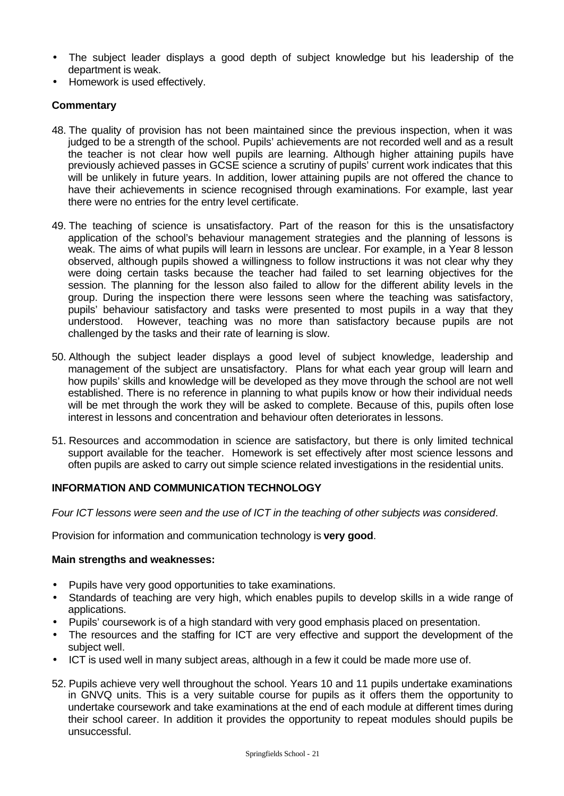- The subject leader displays a good depth of subject knowledge but his leadership of the department is weak.
- Homework is used effectively.

# **Commentary**

- 48. The quality of provision has not been maintained since the previous inspection, when it was judged to be a strength of the school. Pupils' achievements are not recorded well and as a result the teacher is not clear how well pupils are learning. Although higher attaining pupils have previously achieved passes in GCSE science a scrutiny of pupils' current work indicates that this will be unlikely in future years. In addition, lower attaining pupils are not offered the chance to have their achievements in science recognised through examinations. For example, last year there were no entries for the entry level certificate.
- 49. The teaching of science is unsatisfactory. Part of the reason for this is the unsatisfactory application of the school's behaviour management strategies and the planning of lessons is weak. The aims of what pupils will learn in lessons are unclear. For example, in a Year 8 lesson observed, although pupils showed a willingness to follow instructions it was not clear why they were doing certain tasks because the teacher had failed to set learning objectives for the session. The planning for the lesson also failed to allow for the different ability levels in the group. During the inspection there were lessons seen where the teaching was satisfactory, pupils' behaviour satisfactory and tasks were presented to most pupils in a way that they understood. However, teaching was no more than satisfactory because pupils are not challenged by the tasks and their rate of learning is slow.
- 50. Although the subject leader displays a good level of subject knowledge, leadership and management of the subject are unsatisfactory. Plans for what each year group will learn and how pupils' skills and knowledge will be developed as they move through the school are not well established. There is no reference in planning to what pupils know or how their individual needs will be met through the work they will be asked to complete. Because of this, pupils often lose interest in lessons and concentration and behaviour often deteriorates in lessons.
- 51. Resources and accommodation in science are satisfactory, but there is only limited technical support available for the teacher. Homework is set effectively after most science lessons and often pupils are asked to carry out simple science related investigations in the residential units.

# **INFORMATION AND COMMUNICATION TECHNOLOGY**

*Four ICT lessons were seen and the use of ICT in the teaching of other subjects was considered*.

Provision for information and communication technology is **very good**.

# **Main strengths and weaknesses:**

- Pupils have very good opportunities to take examinations.
- Standards of teaching are very high, which enables pupils to develop skills in a wide range of applications.
- Pupils' coursework is of a high standard with very good emphasis placed on presentation.
- The resources and the staffing for ICT are very effective and support the development of the subject well.
- ICT is used well in many subject areas, although in a few it could be made more use of.
- 52. Pupils achieve very well throughout the school. Years 10 and 11 pupils undertake examinations in GNVQ units. This is a very suitable course for pupils as it offers them the opportunity to undertake coursework and take examinations at the end of each module at different times during their school career. In addition it provides the opportunity to repeat modules should pupils be unsuccessful.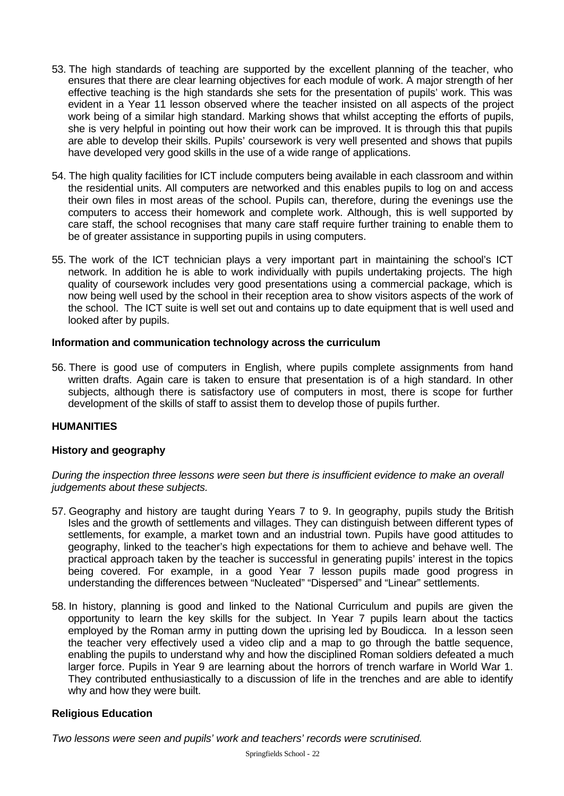- 53. The high standards of teaching are supported by the excellent planning of the teacher, who ensures that there are clear learning objectives for each module of work. A major strength of her effective teaching is the high standards she sets for the presentation of pupils' work. This was evident in a Year 11 lesson observed where the teacher insisted on all aspects of the project work being of a similar high standard. Marking shows that whilst accepting the efforts of pupils, she is very helpful in pointing out how their work can be improved. It is through this that pupils are able to develop their skills. Pupils' coursework is very well presented and shows that pupils have developed very good skills in the use of a wide range of applications.
- 54. The high quality facilities for ICT include computers being available in each classroom and within the residential units. All computers are networked and this enables pupils to log on and access their own files in most areas of the school. Pupils can, therefore, during the evenings use the computers to access their homework and complete work. Although, this is well supported by care staff, the school recognises that many care staff require further training to enable them to be of greater assistance in supporting pupils in using computers.
- 55. The work of the ICT technician plays a very important part in maintaining the school's ICT network. In addition he is able to work individually with pupils undertaking projects. The high quality of coursework includes very good presentations using a commercial package, which is now being well used by the school in their reception area to show visitors aspects of the work of the school. The ICT suite is well set out and contains up to date equipment that is well used and looked after by pupils.

# **Information and communication technology across the curriculum**

56. There is good use of computers in English, where pupils complete assignments from hand written drafts. Again care is taken to ensure that presentation is of a high standard. In other subjects, although there is satisfactory use of computers in most, there is scope for further development of the skills of staff to assist them to develop those of pupils further.

# **HUMANITIES**

# **History and geography**

*During the inspection three lessons were seen but there is insufficient evidence to make an overall judgements about these subjects.*

- 57. Geography and history are taught during Years 7 to 9. In geography, pupils study the British Isles and the growth of settlements and villages. They can distinguish between different types of settlements, for example, a market town and an industrial town. Pupils have good attitudes to geography, linked to the teacher's high expectations for them to achieve and behave well. The practical approach taken by the teacher is successful in generating pupils' interest in the topics being covered. For example, in a good Year 7 lesson pupils made good progress in understanding the differences between "Nucleated" "Dispersed" and "Linear" settlements.
- 58. In history, planning is good and linked to the National Curriculum and pupils are given the opportunity to learn the key skills for the subject. In Year 7 pupils learn about the tactics employed by the Roman army in putting down the uprising led by Boudicca. In a lesson seen the teacher very effectively used a video clip and a map to go through the battle sequence, enabling the pupils to understand why and how the disciplined Roman soldiers defeated a much larger force. Pupils in Year 9 are learning about the horrors of trench warfare in World War 1. They contributed enthusiastically to a discussion of life in the trenches and are able to identify why and how they were built.

# **Religious Education**

*Two lessons were seen and pupils' work and teachers' records were scrutinised.*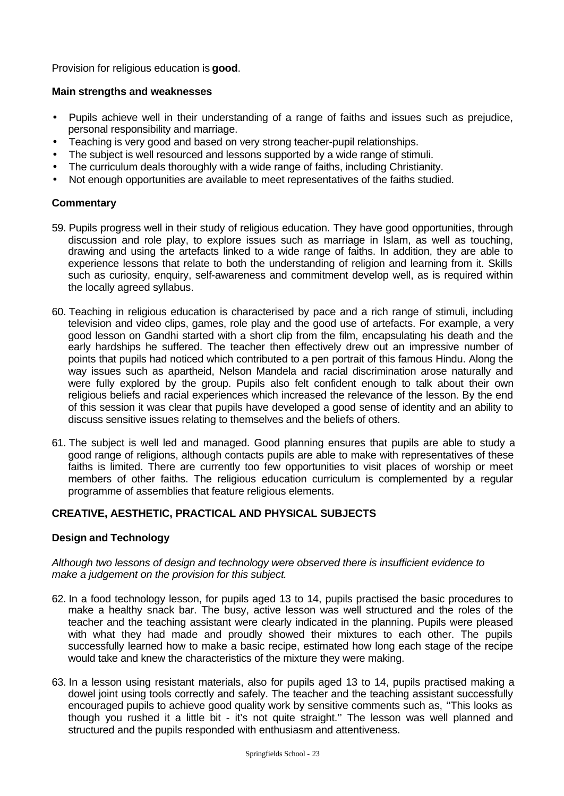Provision for religious education is **good**.

# **Main strengths and weaknesses**

- Pupils achieve well in their understanding of a range of faiths and issues such as prejudice, personal responsibility and marriage.
- Teaching is very good and based on very strong teacher-pupil relationships.
- The subject is well resourced and lessons supported by a wide range of stimuli.
- The curriculum deals thoroughly with a wide range of faiths, including Christianity.
- Not enough opportunities are available to meet representatives of the faiths studied.

# **Commentary**

- 59. Pupils progress well in their study of religious education. They have good opportunities, through discussion and role play, to explore issues such as marriage in Islam, as well as touching, drawing and using the artefacts linked to a wide range of faiths. In addition, they are able to experience lessons that relate to both the understanding of religion and learning from it. Skills such as curiosity, enquiry, self-awareness and commitment develop well, as is required within the locally agreed syllabus.
- 60. Teaching in religious education is characterised by pace and a rich range of stimuli, including television and video clips, games, role play and the good use of artefacts. For example, a very good lesson on Gandhi started with a short clip from the film, encapsulating his death and the early hardships he suffered. The teacher then effectively drew out an impressive number of points that pupils had noticed which contributed to a pen portrait of this famous Hindu. Along the way issues such as apartheid, Nelson Mandela and racial discrimination arose naturally and were fully explored by the group. Pupils also felt confident enough to talk about their own religious beliefs and racial experiences which increased the relevance of the lesson. By the end of this session it was clear that pupils have developed a good sense of identity and an ability to discuss sensitive issues relating to themselves and the beliefs of others.
- 61. The subject is well led and managed. Good planning ensures that pupils are able to study a good range of religions, although contacts pupils are able to make with representatives of these faiths is limited. There are currently too few opportunities to visit places of worship or meet members of other faiths. The religious education curriculum is complemented by a regular programme of assemblies that feature religious elements.

# **CREATIVE, AESTHETIC, PRACTICAL AND PHYSICAL SUBJECTS**

# **Design and Technology**

## *Although two lessons of design and technology were observed there is insufficient evidence to make a judgement on the provision for this subject.*

- 62. In a food technology lesson, for pupils aged 13 to 14, pupils practised the basic procedures to make a healthy snack bar. The busy, active lesson was well structured and the roles of the teacher and the teaching assistant were clearly indicated in the planning. Pupils were pleased with what they had made and proudly showed their mixtures to each other. The pupils successfully learned how to make a basic recipe, estimated how long each stage of the recipe would take and knew the characteristics of the mixture they were making.
- 63. In a lesson using resistant materials, also for pupils aged 13 to 14, pupils practised making a dowel joint using tools correctly and safely. The teacher and the teaching assistant successfully encouraged pupils to achieve good quality work by sensitive comments such as, ''This looks as though you rushed it a little bit - it's not quite straight.'' The lesson was well planned and structured and the pupils responded with enthusiasm and attentiveness.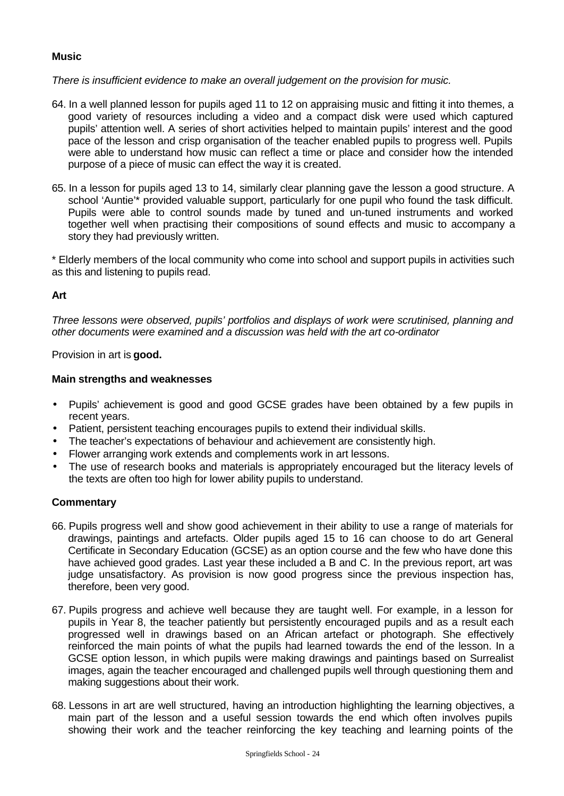# **Music**

*There is insufficient evidence to make an overall judgement on the provision for music.*

- 64. In a well planned lesson for pupils aged 11 to 12 on appraising music and fitting it into themes, a good variety of resources including a video and a compact disk were used which captured pupils' attention well. A series of short activities helped to maintain pupils' interest and the good pace of the lesson and crisp organisation of the teacher enabled pupils to progress well. Pupils were able to understand how music can reflect a time or place and consider how the intended purpose of a piece of music can effect the way it is created.
- 65. In a lesson for pupils aged 13 to 14, similarly clear planning gave the lesson a good structure. A school 'Auntie'\* provided valuable support, particularly for one pupil who found the task difficult. Pupils were able to control sounds made by tuned and un-tuned instruments and worked together well when practising their compositions of sound effects and music to accompany a story they had previously written.

\* Elderly members of the local community who come into school and support pupils in activities such as this and listening to pupils read.

# **Art**

*Three lessons were observed, pupils' portfolios and displays of work were scrutinised, planning and other documents were examined and a discussion was held with the art co-ordinator*

Provision in art is **good.**

## **Main strengths and weaknesses**

- Pupils' achievement is good and good GCSE grades have been obtained by a few pupils in recent years.
- Patient, persistent teaching encourages pupils to extend their individual skills.
- The teacher's expectations of behaviour and achievement are consistently high.
- Flower arranging work extends and complements work in art lessons.
- The use of research books and materials is appropriately encouraged but the literacy levels of the texts are often too high for lower ability pupils to understand.

- 66. Pupils progress well and show good achievement in their ability to use a range of materials for drawings, paintings and artefacts. Older pupils aged 15 to 16 can choose to do art General Certificate in Secondary Education (GCSE) as an option course and the few who have done this have achieved good grades. Last year these included a B and C. In the previous report, art was judge unsatisfactory. As provision is now good progress since the previous inspection has, therefore, been very good.
- 67. Pupils progress and achieve well because they are taught well. For example, in a lesson for pupils in Year 8, the teacher patiently but persistently encouraged pupils and as a result each progressed well in drawings based on an African artefact or photograph. She effectively reinforced the main points of what the pupils had learned towards the end of the lesson. In a GCSE option lesson, in which pupils were making drawings and paintings based on Surrealist images, again the teacher encouraged and challenged pupils well through questioning them and making suggestions about their work.
- 68. Lessons in art are well structured, having an introduction highlighting the learning objectives, a main part of the lesson and a useful session towards the end which often involves pupils showing their work and the teacher reinforcing the key teaching and learning points of the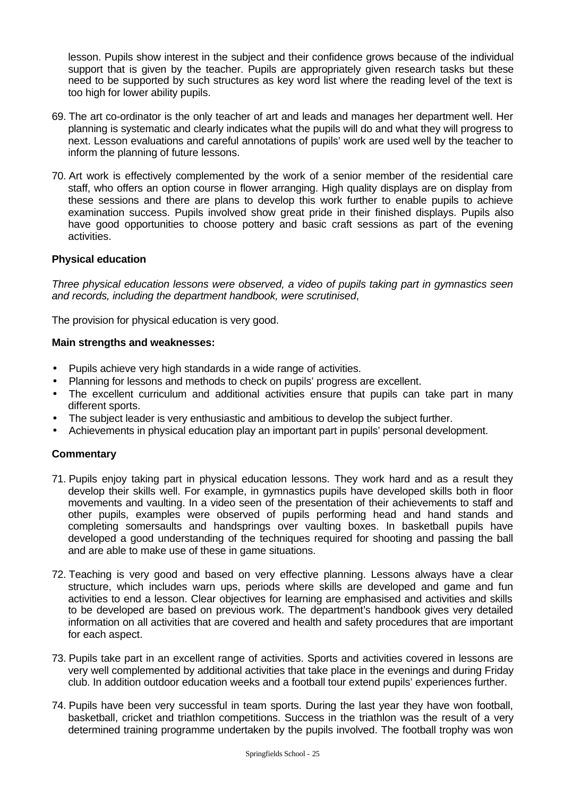lesson. Pupils show interest in the subject and their confidence grows because of the individual support that is given by the teacher. Pupils are appropriately given research tasks but these need to be supported by such structures as key word list where the reading level of the text is too high for lower ability pupils.

- 69. The art co-ordinator is the only teacher of art and leads and manages her department well. Her planning is systematic and clearly indicates what the pupils will do and what they will progress to next. Lesson evaluations and careful annotations of pupils' work are used well by the teacher to inform the planning of future lessons.
- 70. Art work is effectively complemented by the work of a senior member of the residential care staff, who offers an option course in flower arranging. High quality displays are on display from these sessions and there are plans to develop this work further to enable pupils to achieve examination success. Pupils involved show great pride in their finished displays. Pupils also have good opportunities to choose pottery and basic craft sessions as part of the evening activities.

## **Physical education**

*Three physical education lessons were observed, a video of pupils taking part in gymnastics seen and records, including the department handbook, were scrutinised*,

The provision for physical education is very good.

#### **Main strengths and weaknesses:**

- Pupils achieve very high standards in a wide range of activities.
- Planning for lessons and methods to check on pupils' progress are excellent.
- The excellent curriculum and additional activities ensure that pupils can take part in many different sports.
- The subject leader is very enthusiastic and ambitious to develop the subject further.
- Achievements in physical education play an important part in pupils' personal development.

- 71. Pupils enjoy taking part in physical education lessons. They work hard and as a result they develop their skills well. For example, in gymnastics pupils have developed skills both in floor movements and vaulting. In a video seen of the presentation of their achievements to staff and other pupils, examples were observed of pupils performing head and hand stands and completing somersaults and handsprings over vaulting boxes. In basketball pupils have developed a good understanding of the techniques required for shooting and passing the ball and are able to make use of these in game situations.
- 72. Teaching is very good and based on very effective planning. Lessons always have a clear structure, which includes warn ups, periods where skills are developed and game and fun activities to end a lesson. Clear objectives for learning are emphasised and activities and skills to be developed are based on previous work. The department's handbook gives very detailed information on all activities that are covered and health and safety procedures that are important for each aspect.
- 73. Pupils take part in an excellent range of activities. Sports and activities covered in lessons are very well complemented by additional activities that take place in the evenings and during Friday club. In addition outdoor education weeks and a football tour extend pupils' experiences further.
- 74. Pupils have been very successful in team sports. During the last year they have won football, basketball, cricket and triathlon competitions. Success in the triathlon was the result of a very determined training programme undertaken by the pupils involved. The football trophy was won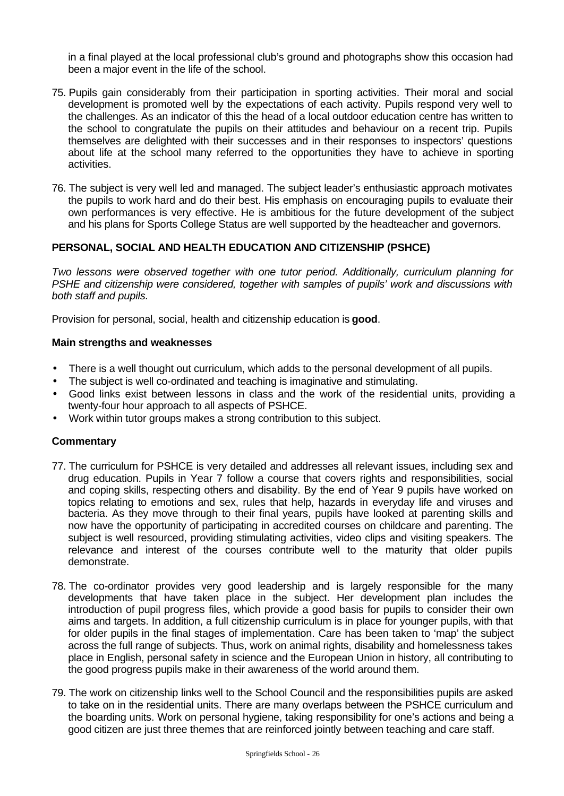in a final played at the local professional club's ground and photographs show this occasion had been a major event in the life of the school.

- 75. Pupils gain considerably from their participation in sporting activities. Their moral and social development is promoted well by the expectations of each activity. Pupils respond very well to the challenges. As an indicator of this the head of a local outdoor education centre has written to the school to congratulate the pupils on their attitudes and behaviour on a recent trip. Pupils themselves are delighted with their successes and in their responses to inspectors' questions about life at the school many referred to the opportunities they have to achieve in sporting activities.
- 76. The subject is very well led and managed. The subject leader's enthusiastic approach motivates the pupils to work hard and do their best. His emphasis on encouraging pupils to evaluate their own performances is very effective. He is ambitious for the future development of the subject and his plans for Sports College Status are well supported by the headteacher and governors.

# **PERSONAL, SOCIAL AND HEALTH EDUCATION AND CITIZENSHIP (PSHCE)**

*Two lessons were observed together with one tutor period. Additionally, curriculum planning for PSHE and citizenship were considered, together with samples of pupils' work and discussions with both staff and pupils.*

Provision for personal, social, health and citizenship education is **good**.

#### **Main strengths and weaknesses**

- There is a well thought out curriculum, which adds to the personal development of all pupils.
- The subject is well co-ordinated and teaching is imaginative and stimulating.
- Good links exist between lessons in class and the work of the residential units, providing a twenty-four hour approach to all aspects of PSHCE.
- Work within tutor groups makes a strong contribution to this subject.

- 77. The curriculum for PSHCE is very detailed and addresses all relevant issues, including sex and drug education. Pupils in Year 7 follow a course that covers rights and responsibilities, social and coping skills, respecting others and disability. By the end of Year 9 pupils have worked on topics relating to emotions and sex, rules that help, hazards in everyday life and viruses and bacteria. As they move through to their final years, pupils have looked at parenting skills and now have the opportunity of participating in accredited courses on childcare and parenting. The subject is well resourced, providing stimulating activities, video clips and visiting speakers. The relevance and interest of the courses contribute well to the maturity that older pupils demonstrate.
- 78. The co-ordinator provides very good leadership and is largely responsible for the many developments that have taken place in the subject. Her development plan includes the introduction of pupil progress files, which provide a good basis for pupils to consider their own aims and targets. In addition, a full citizenship curriculum is in place for younger pupils, with that for older pupils in the final stages of implementation. Care has been taken to 'map' the subject across the full range of subjects. Thus, work on animal rights, disability and homelessness takes place in English, personal safety in science and the European Union in history, all contributing to the good progress pupils make in their awareness of the world around them.
- 79. The work on citizenship links well to the School Council and the responsibilities pupils are asked to take on in the residential units. There are many overlaps between the PSHCE curriculum and the boarding units. Work on personal hygiene, taking responsibility for one's actions and being a good citizen are just three themes that are reinforced jointly between teaching and care staff.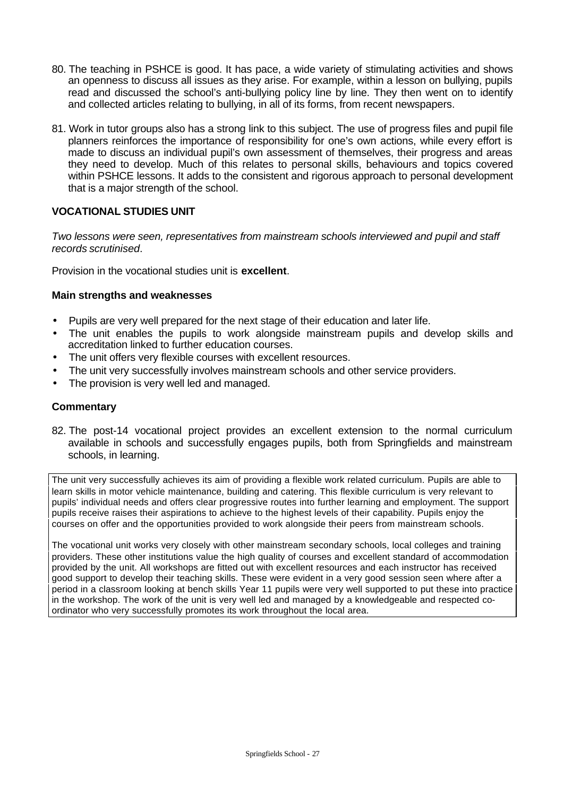- 80. The teaching in PSHCE is good. It has pace, a wide variety of stimulating activities and shows an openness to discuss all issues as they arise. For example, within a lesson on bullying, pupils read and discussed the school's anti-bullying policy line by line. They then went on to identify and collected articles relating to bullying, in all of its forms, from recent newspapers.
- 81. Work in tutor groups also has a strong link to this subject. The use of progress files and pupil file planners reinforces the importance of responsibility for one's own actions, while every effort is made to discuss an individual pupil's own assessment of themselves, their progress and areas they need to develop. Much of this relates to personal skills, behaviours and topics covered within PSHCE lessons. It adds to the consistent and rigorous approach to personal development that is a major strength of the school.

# **VOCATIONAL STUDIES UNIT**

*Two lessons were seen, representatives from mainstream schools interviewed and pupil and staff records scrutinised*.

Provision in the vocational studies unit is **excellent**.

# **Main strengths and weaknesses**

- Pupils are very well prepared for the next stage of their education and later life.
- The unit enables the pupils to work alongside mainstream pupils and develop skills and accreditation linked to further education courses.
- The unit offers very flexible courses with excellent resources.
- The unit very successfully involves mainstream schools and other service providers.
- The provision is very well led and managed.

# **Commentary**

82. The post-14 vocational project provides an excellent extension to the normal curriculum available in schools and successfully engages pupils, both from Springfields and mainstream schools, in learning.

The unit very successfully achieves its aim of providing a flexible work related curriculum. Pupils are able to learn skills in motor vehicle maintenance, building and catering. This flexible curriculum is very relevant to pupils' individual needs and offers clear progressive routes into further learning and employment. The support pupils receive raises their aspirations to achieve to the highest levels of their capability. Pupils enjoy the courses on offer and the opportunities provided to work alongside their peers from mainstream schools.

The vocational unit works very closely with other mainstream secondary schools, local colleges and training providers. These other institutions value the high quality of courses and excellent standard of accommodation provided by the unit. All workshops are fitted out with excellent resources and each instructor has received good support to develop their teaching skills. These were evident in a very good session seen where after a period in a classroom looking at bench skills Year 11 pupils were very well supported to put these into practice in the workshop. The work of the unit is very well led and managed by a knowledgeable and respected coordinator who very successfully promotes its work throughout the local area.